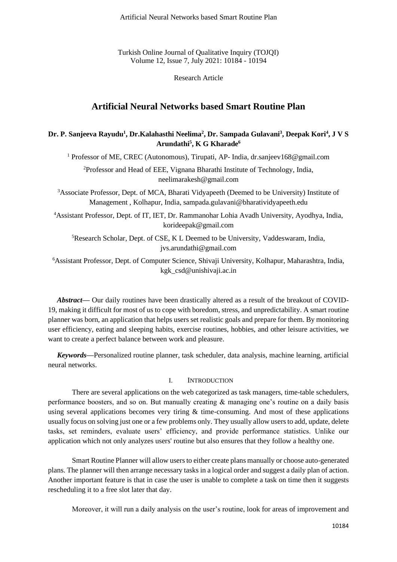Turkish Online Journal of Qualitative Inquiry (TOJQI) Volume 12, Issue 7, July 2021: 10184 - 10194

Research Article

# **Artificial Neural Networks based Smart Routine Plan**

## **Dr. P. Sanjeeva Rayudu<sup>1</sup> , Dr.Kalahasthi Neelima<sup>2</sup> , Dr. Sampada Gulavani<sup>3</sup> , Deepak Kori<sup>4</sup> , J V S Arundathi<sup>5</sup> , K G Kharade<sup>6</sup>**

<sup>1</sup> Professor of ME, CREC (Autonomous), Tirupati, AP- India, dr.sanjeev168@gmail.com

<sup>2</sup>Professor and Head of EEE, Vignana Bharathi Institute of Technology, India, neelimarakesh@gmail.com

<sup>3</sup>Associate Professor, Dept. of MCA, Bharati Vidyapeeth (Deemed to be University) Institute of Management , Kolhapur, India, sampada.gulavani@bharatividyapeeth.edu

<sup>4</sup>Assistant Professor, Dept. of IT, IET, Dr. Rammanohar Lohia Avadh University, Ayodhya, India, korideepak@gmail.com

<sup>5</sup>Research Scholar, Dept. of CSE, K L Deemed to be University, Vaddeswaram, India, jvs.arundathi@gmail.com

<sup>6</sup>Assistant Professor, Dept. of Computer Science, Shivaji University, Kolhapur, Maharashtra, India, kgk\_csd@unishivaji.ac.in

*Abstract***—** Our daily routines have been drastically altered as a result of the breakout of COVID-19, making it difficult for most of us to cope with boredom, stress, and unpredictability. A smart routine planner was born, an application that helps users set realistic goals and prepare for them. By monitoring user efficiency, eating and sleeping habits, exercise routines, hobbies, and other leisure activities, we want to create a perfect balance between work and pleasure.

*Keywords—*Personalized routine planner, task scheduler, data analysis, machine learning, artificial neural networks.

## I. INTRODUCTION

There are several applications on the web categorized as task managers, time-table schedulers, performance boosters, and so on. But manually creating & managing one's routine on a daily basis using several applications becomes very tiring  $\&$  time-consuming. And most of these applications usually focus on solving just one or a few problems only. They usually allow users to add, update, delete tasks, set reminders, evaluate users' efficiency, and provide performance statistics. Unlike our application which not only analyzes users' routine but also ensures that they follow a healthy one.

Smart Routine Planner will allow users to either create plans manually or choose auto-generated plans. The planner will then arrange necessary tasks in a logical order and suggest a daily plan of action. Another important feature is that in case the user is unable to complete a task on time then it suggests rescheduling it to a free slot later that day.

Moreover, it will run a daily analysis on the user's routine, look for areas of improvement and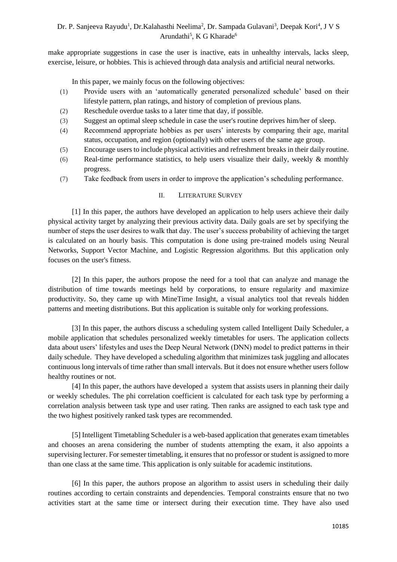make appropriate suggestions in case the user is inactive, eats in unhealthy intervals, lacks sleep, exercise, leisure, or hobbies. This is achieved through data analysis and artificial neural networks.

In this paper, we mainly focus on the following objectives:

- (1) Provide users with an 'automatically generated personalized schedule' based on their lifestyle pattern, plan ratings, and history of completion of previous plans.
- (2) Reschedule overdue tasks to a later time that day, if possible.
- (3) Suggest an optimal sleep schedule in case the user's routine deprives him/her of sleep.
- (4) Recommend appropriate hobbies as per users' interests by comparing their age, marital status, occupation, and region (optionally) with other users of the same age group.
- (5) Encourage users to include physical activities and refreshment breaks in their daily routine.
- (6) Real-time performance statistics, to help users visualize their daily, weekly  $\&$  monthly progress.
- (7) Take feedback from users in order to improve the application's scheduling performance.

## II. LITERATURE SURVEY

[1] In this paper, the authors have developed an application to help users achieve their daily physical activity target by analyzing their previous activity data. Daily goals are set by specifying the number of steps the user desires to walk that day. The user's success probability of achieving the target is calculated on an hourly basis. This computation is done using pre-trained models using Neural Networks, Support Vector Machine, and Logistic Regression algorithms. But this application only focuses on the user's fitness.

[2] In this paper, the authors propose the need for a tool that can analyze and manage the distribution of time towards meetings held by corporations, to ensure regularity and maximize productivity. So, they came up with MineTime Insight, a visual analytics tool that reveals hidden patterns and meeting distributions. But this application is suitable only for working professions.

[3] In this paper, the authors discuss a scheduling system called Intelligent Daily Scheduler, a mobile application that schedules personalized weekly timetables for users. The application collects data about users' lifestyles and uses the Deep Neural Network (DNN) model to predict patterns in their daily schedule. They have developed a scheduling algorithm that minimizes task juggling and allocates continuous long intervals of time rather than small intervals. But it does not ensure whether users follow healthy routines or not.

[4] In this paper, the authors have developed a system that assists users in planning their daily or weekly schedules. The phi correlation coefficient is calculated for each task type by performing a correlation analysis between task type and user rating. Then ranks are assigned to each task type and the two highest positively ranked task types are recommended.

[5] Intelligent Timetabling Scheduler is a web-based application that generates exam timetables and chooses an arena considering the number of students attempting the exam, it also appoints a supervising lecturer. For semester timetabling, it ensures that no professor or student is assigned to more than one class at the same time. This application is only suitable for academic institutions.

[6] In this paper, the authors propose an algorithm to assist users in scheduling their daily routines according to certain constraints and dependencies. Temporal constraints ensure that no two activities start at the same time or intersect during their execution time. They have also used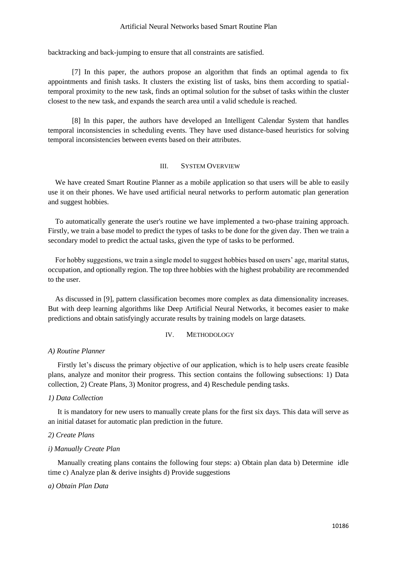## Artificial Neural Networks based Smart Routine Plan

backtracking and back-jumping to ensure that all constraints are satisfied.

[7] In this paper, the authors propose an algorithm that finds an optimal agenda to fix appointments and finish tasks. It clusters the existing list of tasks, bins them according to spatialtemporal proximity to the new task, finds an optimal solution for the subset of tasks within the cluster closest to the new task, and expands the search area until a valid schedule is reached.

[8] In this paper, the authors have developed an Intelligent Calendar System that handles temporal inconsistencies in scheduling events. They have used distance-based heuristics for solving temporal inconsistencies between events based on their attributes.

## III. SYSTEM OVERVIEW

We have created Smart Routine Planner as a mobile application so that users will be able to easily use it on their phones. We have used artificial neural networks to perform automatic plan generation and suggest hobbies.

To automatically generate the user's routine we have implemented a two-phase training approach. Firstly, we train a base model to predict the types of tasks to be done for the given day. Then we train a secondary model to predict the actual tasks, given the type of tasks to be performed.

For hobby suggestions, we train a single model to suggest hobbies based on users' age, marital status, occupation, and optionally region. The top three hobbies with the highest probability are recommended to the user.

As discussed in [9], pattern classification becomes more complex as data dimensionality increases. But with deep learning algorithms like Deep Artificial Neural Networks, it becomes easier to make predictions and obtain satisfyingly accurate results by training models on large datasets.

## IV. METHODOLOGY

#### *A) Routine Planner*

Firstly let's discuss the primary objective of our application, which is to help users create feasible plans, analyze and monitor their progress. This section contains the following subsections: 1) Data collection, 2) Create Plans, 3) Monitor progress, and 4) Reschedule pending tasks.

## *1) Data Collection*

It is mandatory for new users to manually create plans for the first six days. This data will serve as an initial dataset for automatic plan prediction in the future.

## *2) Create Plans*

## *i) Manually Create Plan*

Manually creating plans contains the following four steps: a) Obtain plan data b) Determine idle time c) Analyze plan & derive insights d) Provide suggestions

### *a) Obtain Plan Data*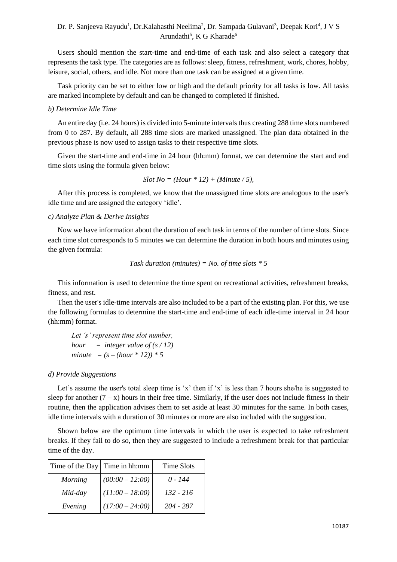Users should mention the start-time and end-time of each task and also select a category that represents the task type. The categories are as follows: sleep, fitness, refreshment, work, chores, hobby, leisure, social, others, and idle. Not more than one task can be assigned at a given time.

Task priority can be set to either low or high and the default priority for all tasks is low. All tasks are marked incomplete by default and can be changed to completed if finished.

## *b) Determine Idle Time*

An entire day (i.e. 24 hours) is divided into 5-minute intervals thus creating 288 time slots numbered from 0 to 287. By default, all 288 time slots are marked unassigned. The plan data obtained in the previous phase is now used to assign tasks to their respective time slots.

Given the start-time and end-time in 24 hour (hh:mm) format, we can determine the start and end time slots using the formula given below:

*Slot No = (Hour \* 12) + (Minute / 5),*

After this process is completed, we know that the unassigned time slots are analogous to the user's idle time and are assigned the category 'idle'.

## *c) Analyze Plan & Derive Insights*

Now we have information about the duration of each task in terms of the number of time slots. Since each time slot corresponds to 5 minutes we can determine the duration in both hours and minutes using the given formula:

Task duration (minutes) = No. of time slots 
$$
*5
$$

This information is used to determine the time spent on recreational activities, refreshment breaks, fitness, and rest.

Then the user's idle-time intervals are also included to be a part of the existing plan. For this, we use the following formulas to determine the start-time and end-time of each idle-time interval in 24 hour (hh:mm) format.

*Let 's' represent time slot number, hour*  $=$  *integer value of (s / 12) minute*  $= (s - (hour * 12)) * 5$ 

## *d) Provide Suggestions*

Let's assume the user's total sleep time is 'x' then if 'x' is less than 7 hours she/he is suggested to sleep for another  $(7 - x)$  hours in their free time. Similarly, if the user does not include fitness in their routine, then the application advises them to set aside at least 30 minutes for the same. In both cases, idle time intervals with a duration of 30 minutes or more are also included with the suggestion.

Shown below are the optimum time intervals in which the user is expected to take refreshment breaks. If they fail to do so, then they are suggested to include a refreshment break for that particular time of the day.

| Time of the Day | Time in hh:mm     | Time Slots |
|-----------------|-------------------|------------|
| <b>Morning</b>  | $(00:00 - 12:00)$ | 0 - 144    |
| Mid-day         | $(11:00 - 18:00)$ | 132 - 216  |
| Evening         | $(17:00 - 24:00)$ | 204 - 287  |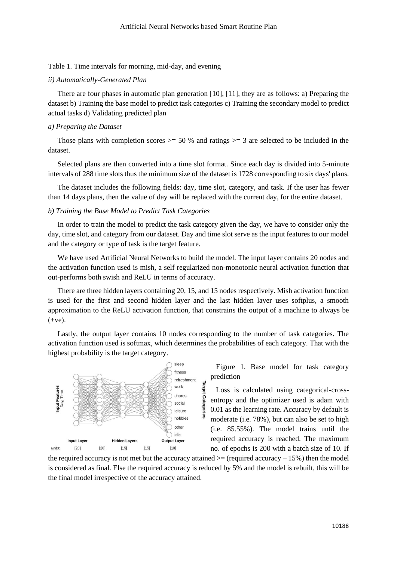## Table 1. Time intervals for morning, mid-day, and evening

#### *ii) Automatically-Generated Plan*

There are four phases in automatic plan generation [10], [11], they are as follows: a) Preparing the dataset b) Training the base model to predict task categories c) Training the secondary model to predict actual tasks d) Validating predicted plan

## *a) Preparing the Dataset*

Those plans with completion scores  $> = 50$  % and ratings  $> = 3$  are selected to be included in the dataset.

Selected plans are then converted into a time slot format. Since each day is divided into 5-minute intervals of 288 time slots thus the minimum size of the dataset is 1728 corresponding to six days' plans.

The dataset includes the following fields: day, time slot, category, and task. If the user has fewer than 14 days plans, then the value of day will be replaced with the current day, for the entire dataset.

## *b) Training the Base Model to Predict Task Categories*

In order to train the model to predict the task category given the day, we have to consider only the day, time slot, and category from our dataset. Day and time slot serve as the input features to our model and the category or type of task is the target feature.

We have used Artificial Neural Networks to build the model. The input layer contains 20 nodes and the activation function used is mish, a self regularized non-monotonic neural activation function that out-performs both swish and ReLU in terms of accuracy.

There are three hidden layers containing 20, 15, and 15 nodes respectively. Mish activation function is used for the first and second hidden layer and the last hidden layer uses softplus, a smooth approximation to the ReLU activation function, that constrains the output of a machine to always be  $(+ve).$ 

Lastly, the output layer contains 10 nodes corresponding to the number of task categories. The activation function used is softmax, which determines the probabilities of each category. That with the highest probability is the target category.

Target

Categor



Figure 1. Base model for task category prediction

Loss is calculated using categorical-crossentropy and the optimizer used is adam with 0.01 as the learning rate. Accuracy by default is moderate (i.e. 78%), but can also be set to high (i.e. 85.55%). The model trains until the required accuracy is reached. The maximum no. of epochs is 200 with a batch size of 10. If

the required accuracy is not met but the accuracy attained  $>=($  required accuracy  $-15\%$ ) then the model is considered as final. Else the required accuracy is reduced by 5% and the model is rebuilt, this will be the final model irrespective of the accuracy attained.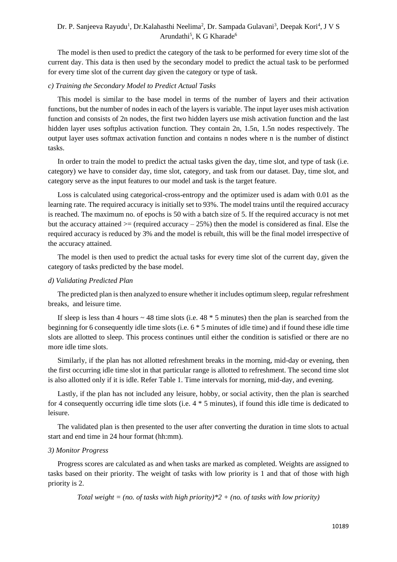The model is then used to predict the category of the task to be performed for every time slot of the current day. This data is then used by the secondary model to predict the actual task to be performed for every time slot of the current day given the category or type of task.

## *c) Training the Secondary Model to Predict Actual Tasks*

This model is similar to the base model in terms of the number of layers and their activation functions, but the number of nodes in each of the layers is variable. The input layer uses mish activation function and consists of 2n nodes, the first two hidden layers use mish activation function and the last hidden layer uses softplus activation function. They contain 2n, 1.5n, 1.5n nodes respectively. The output layer uses softmax activation function and contains n nodes where n is the number of distinct tasks.

In order to train the model to predict the actual tasks given the day, time slot, and type of task (i.e. category) we have to consider day, time slot, category, and task from our dataset. Day, time slot, and category serve as the input features to our model and task is the target feature.

Loss is calculated using categorical-cross-entropy and the optimizer used is adam with 0.01 as the learning rate. The required accuracy is initially set to 93%. The model trains until the required accuracy is reached. The maximum no. of epochs is 50 with a batch size of 5. If the required accuracy is not met but the accuracy attained  $\geq$  (required accuracy – 25%) then the model is considered as final. Else the required accuracy is reduced by 3% and the model is rebuilt, this will be the final model irrespective of the accuracy attained.

The model is then used to predict the actual tasks for every time slot of the current day, given the category of tasks predicted by the base model.

## *d) Validating Predicted Plan*

The predicted plan is then analyzed to ensure whether it includes optimum sleep, regular refreshment breaks, and leisure time.

If sleep is less than 4 hours  $\sim$  48 time slots (i.e. 48  $*$  5 minutes) then the plan is searched from the beginning for 6 consequently idle time slots (i.e. 6 \* 5 minutes of idle time) and if found these idle time slots are allotted to sleep. This process continues until either the condition is satisfied or there are no more idle time slots.

Similarly, if the plan has not allotted refreshment breaks in the morning, mid-day or evening, then the first occurring idle time slot in that particular range is allotted to refreshment. The second time slot is also allotted only if it is idle. Refer Table 1. Time intervals for morning, mid-day, and evening.

Lastly, if the plan has not included any leisure, hobby, or social activity, then the plan is searched for 4 consequently occurring idle time slots (i.e. 4 \* 5 minutes), if found this idle time is dedicated to leisure.

The validated plan is then presented to the user after converting the duration in time slots to actual start and end time in 24 hour format (hh:mm).

#### *3) Monitor Progress*

Progress scores are calculated as and when tasks are marked as completed. Weights are assigned to tasks based on their priority. The weight of tasks with low priority is 1 and that of those with high priority is 2.

*Total weight = (no. of tasks with high priority)\*2 + (no. of tasks with low priority)*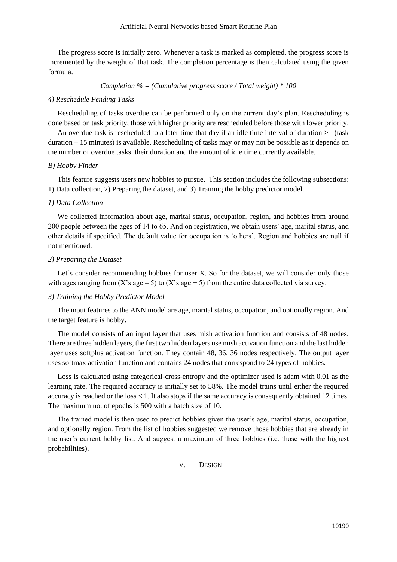The progress score is initially zero. Whenever a task is marked as completed, the progress score is incremented by the weight of that task. The completion percentage is then calculated using the given formula.

*Completion % = (Cumulative progress score / Total weight) \* 100*

#### *4) Reschedule Pending Tasks*

Rescheduling of tasks overdue can be performed only on the current day's plan. Rescheduling is done based on task priority, those with higher priority are rescheduled before those with lower priority.

An overdue task is rescheduled to a later time that day if an idle time interval of duration  $>=($  task duration – 15 minutes) is available. Rescheduling of tasks may or may not be possible as it depends on the number of overdue tasks, their duration and the amount of idle time currently available.

#### *B) Hobby Finder*

This feature suggests users new hobbies to pursue. This section includes the following subsections: 1) Data collection, 2) Preparing the dataset, and 3) Training the hobby predictor model.

## *1) Data Collection*

We collected information about age, marital status, occupation, region, and hobbies from around 200 people between the ages of 14 to 65. And on registration, we obtain users' age, marital status, and other details if specified. The default value for occupation is 'others'. Region and hobbies are null if not mentioned.

## *2) Preparing the Dataset*

Let's consider recommending hobbies for user X. So for the dataset, we will consider only those with ages ranging from  $(X \text{'s age} - 5)$  to  $(X \text{'s age} + 5)$  from the entire data collected via survey.

## *3) Training the Hobby Predictor Model*

The input features to the ANN model are age, marital status, occupation, and optionally region. And the target feature is hobby.

The model consists of an input layer that uses mish activation function and consists of 48 nodes. There are three hidden layers, the first two hidden layers use mish activation function and the last hidden layer uses softplus activation function. They contain 48, 36, 36 nodes respectively. The output layer uses softmax activation function and contains 24 nodes that correspond to 24 types of hobbies.

Loss is calculated using categorical-cross-entropy and the optimizer used is adam with 0.01 as the learning rate. The required accuracy is initially set to 58%. The model trains until either the required accuracy is reached or the loss < 1. It also stops if the same accuracy is consequently obtained 12 times. The maximum no. of epochs is 500 with a batch size of 10.

The trained model is then used to predict hobbies given the user's age, marital status, occupation, and optionally region. From the list of hobbies suggested we remove those hobbies that are already in the user's current hobby list. And suggest a maximum of three hobbies (i.e. those with the highest probabilities).

V. DESIGN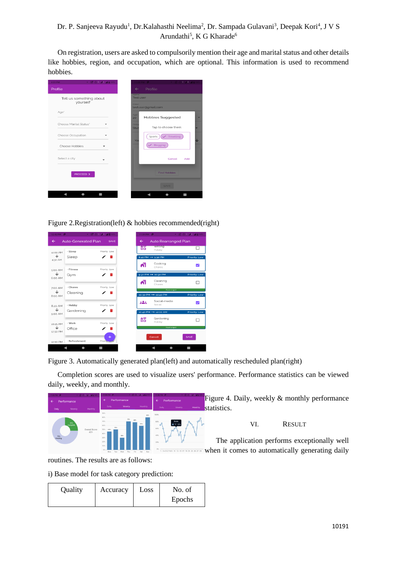On registration, users are asked to compulsorily mention their age and marital status and other details like hobbies, region, and occupation, which are optional. This information is used to recommend hobbies.



Figure 2.Registration(left) & hobbies recommended(right)

| 12:42 PM $\vert \mathbf{P} \vert$ |                            | → 28 30 1 41 40 95%  |
|-----------------------------------|----------------------------|----------------------|
| $\leftarrow$                      | <b>Auto-Generated Plan</b> | <b>SAVE</b>          |
| 12:00 AM                          | · Sleep                    | Priority: Low        |
| ↓<br>4:30 AM                      | Sleep                      | ◢<br>۰               |
|                                   |                            |                      |
| 5:00 AM<br>↓                      | - Fitness<br>Gym           | Priority: Low<br>∕ ≡ |
| 6:00 AM                           |                            |                      |
| 7:00 AM<br>↓                      | · Chores                   | Priority: Low<br>◢   |
| 8:00 AM                           | Cleaning                   |                      |
| 8:20 AM                           | · Hobby                    | Priority: Low        |
| ↓<br>9:00 AM                      | Gardening                  | п                    |
|                                   | - Work                     | Priority: Low        |
| 10:15 AM<br>↓                     | Office                     | п                    |
| 12:50 PM                          |                            | $+$                  |
| 12:50 PM                          | · Refreshment              | Priority-            |

Figure 3. Automatically generated plan(left) and automatically rescheduled plan(right)

Completion scores are used to visualize users' performance. Performance statistics can be viewed daily, weekly, and monthly.



routines. The results are as follows:

i) Base model for task category prediction:

| Quality | Accuracy | Loss | No. of |
|---------|----------|------|--------|
|         |          |      | Epochs |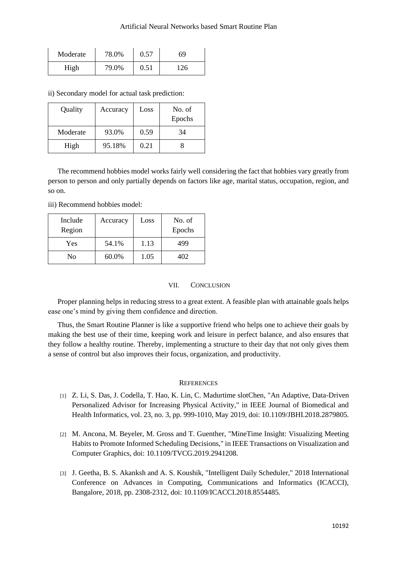| Moderate | 78.0% | 0.57 | 69  |
|----------|-------|------|-----|
| High     | 79.0% | 0.51 | 126 |

ii) Secondary model for actual task prediction:

| Quality  | Accuracy | Loss | No. of<br>Epochs |
|----------|----------|------|------------------|
| Moderate | 93.0%    | 0.59 | 34               |
| High     | 95.18%   | 0.21 |                  |

The recommend hobbies model works fairly well considering the fact that hobbies vary greatly from person to person and only partially depends on factors like age, marital status, occupation, region, and so on.

iii) Recommend hobbies model:

| Include<br>Region | Accuracy | Loss | No. of<br>Epochs |
|-------------------|----------|------|------------------|
| Yes               | 54.1%    | 1.13 | 499              |
| No                | 60.0%    | 1.05 | 402              |

## VII. CONCLUSION

Proper planning helps in reducing stress to a great extent. A feasible plan with attainable goals helps ease one's mind by giving them confidence and direction.

Thus, the Smart Routine Planner is like a supportive friend who helps one to achieve their goals by making the best use of their time, keeping work and leisure in perfect balance, and also ensures that they follow a healthy routine. Thereby, implementing a structure to their day that not only gives them a sense of control but also improves their focus, organization, and productivity.

## **REFERENCES**

- [1] Z. Li, S. Das, J. Codella, T. Hao, K. Lin, C. Madurtime slotChen, "An Adaptive, Data-Driven Personalized Advisor for Increasing Physical Activity," in IEEE Journal of Biomedical and Health Informatics, vol. 23, no. 3, pp. 999-1010, May 2019, doi: 10.1109/JBHI.2018.2879805.
- [2] M. Ancona, M. Beyeler, M. Gross and T. Guenther, "MineTime Insight: Visualizing Meeting Habits to Promote Informed Scheduling Decisions," in IEEE Transactions on Visualization and Computer Graphics, doi: 10.1109/TVCG.2019.2941208.
- [3] J. Geetha, B. S. Akanksh and A. S. Koushik, "Intelligent Daily Scheduler," 2018 International Conference on Advances in Computing, Communications and Informatics (ICACCI), Bangalore, 2018, pp. 2308-2312, doi: 10.1109/ICACCI.2018.8554485.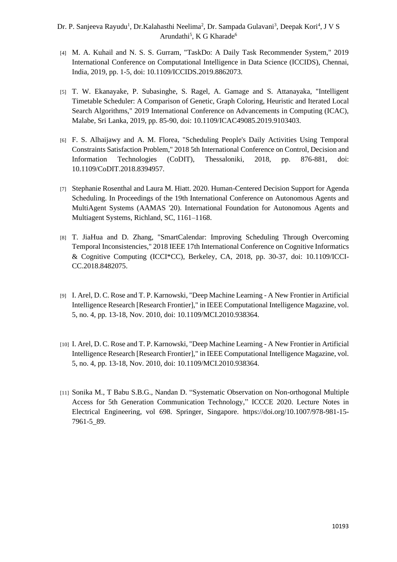- [4] M. A. Kuhail and N. S. S. Gurram, "TaskDo: A Daily Task Recommender System," 2019 International Conference on Computational Intelligence in Data Science (ICCIDS), Chennai, India, 2019, pp. 1-5, doi: 10.1109/ICCIDS.2019.8862073.
- [5] T. W. Ekanayake, P. Subasinghe, S. Ragel, A. Gamage and S. Attanayaka, "Intelligent Timetable Scheduler: A Comparison of Genetic, Graph Coloring, Heuristic and Iterated Local Search Algorithms," 2019 International Conference on Advancements in Computing (ICAC), Malabe, Sri Lanka, 2019, pp. 85-90, doi: 10.1109/ICAC49085.2019.9103403.
- [6] F. S. Alhaijawy and A. M. Florea, "Scheduling People's Daily Activities Using Temporal Constraints Satisfaction Problem," 2018 5th International Conference on Control, Decision and Information Technologies (CoDIT), Thessaloniki, 2018, pp. 876-881, doi: 10.1109/CoDIT.2018.8394957.
- [7] Stephanie Rosenthal and Laura M. Hiatt. 2020. Human-Centered Decision Support for Agenda Scheduling. In Proceedings of the 19th International Conference on Autonomous Agents and MultiAgent Systems (AAMAS '20). International Foundation for Autonomous Agents and Multiagent Systems, Richland, SC, 1161–1168.
- [8] T. JiaHua and D. Zhang, "SmartCalendar: Improving Scheduling Through Overcoming Temporal Inconsistencies," 2018 IEEE 17th International Conference on Cognitive Informatics & Cognitive Computing (ICCI\*CC), Berkeley, CA, 2018, pp. 30-37, doi: 10.1109/ICCI-CC.2018.8482075.
- [9] I. Arel, D. C. Rose and T. P. Karnowski, "Deep Machine Learning A New Frontier in Artificial Intelligence Research [Research Frontier]," in IEEE Computational Intelligence Magazine, vol. 5, no. 4, pp. 13-18, Nov. 2010, doi: 10.1109/MCI.2010.938364.
- [10] I. Arel, D. C. Rose and T. P. Karnowski, "Deep Machine Learning A New Frontier in Artificial Intelligence Research [Research Frontier]," in IEEE Computational Intelligence Magazine, vol. 5, no. 4, pp. 13-18, Nov. 2010, doi: 10.1109/MCI.2010.938364.
- [11] Sonika M., T Babu S.B.G., Nandan D. "Systematic Observation on Non-orthogonal Multiple Access for 5th Generation Communication Technology," ICCCE 2020. Lecture Notes in Electrical Engineering, vol 698. Springer, Singapore. https://doi.org/10.1007/978-981-15- 7961-5\_89.